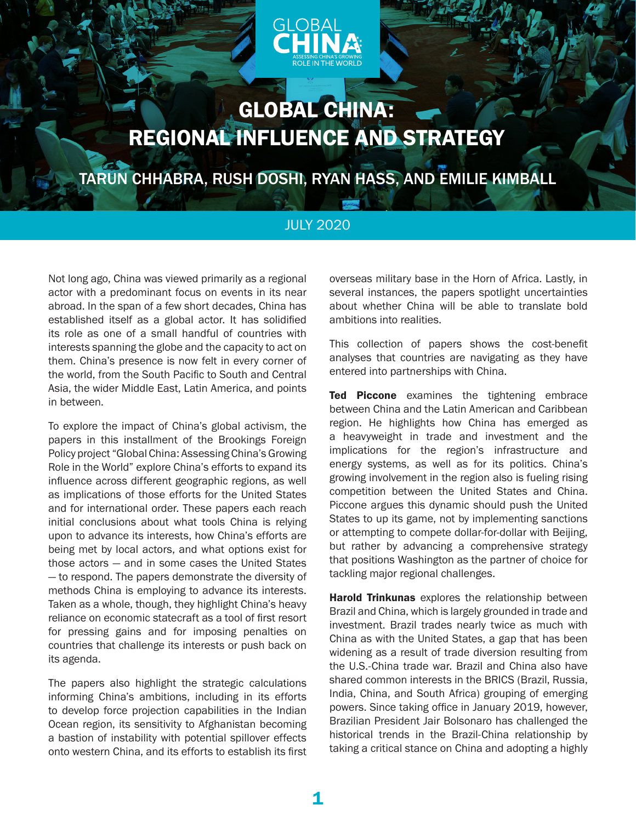

# GLOBAL CHINA: REGIONAL INFLUENCE AND STRATEGY

TARUN CHHABRA, RUSH DOSHI, RYAN HASS, AND EMILIE KIMBALL

### JULY 2020

Not long ago, China was viewed primarily as a regional actor with a predominant focus on events in its near abroad. In the span of a few short decades, China has established itself as a global actor. It has solidified its role as one of a small handful of countries with interests spanning the globe and the capacity to act on them. China's presence is now felt in every corner of the world, from the South Pacific to South and Central Asia, the wider Middle East, Latin America, and points in between.

To explore the impact of China's global activism, the papers in this installment of the Brookings Foreign Policy project "Global China: Assessing China's Growing Role in the World" explore China's efforts to expand its influence across different geographic regions, as well as implications of those efforts for the United States and for international order. These papers each reach initial conclusions about what tools China is relying upon to advance its interests, how China's efforts are being met by local actors, and what options exist for those actors — and in some cases the United States — to respond. The papers demonstrate the diversity of methods China is employing to advance its interests. Taken as a whole, though, they highlight China's heavy reliance on economic statecraft as a tool of first resort for pressing gains and for imposing penalties on countries that challenge its interests or push back on its agenda.

The papers also highlight the strategic calculations informing China's ambitions, including in its efforts to develop force projection capabilities in the Indian Ocean region, its sensitivity to Afghanistan becoming a bastion of instability with potential spillover effects onto western China, and its efforts to establish its first

overseas military base in the Horn of Africa. Lastly, in several instances, the papers spotlight uncertainties about whether China will be able to translate bold ambitions into realities.

This collection of papers shows the cost-benefit analyses that countries are navigating as they have entered into partnerships with China.

Ted Piccone examines the tightening embrace between China and the Latin American and Caribbean region. He highlights how China has emerged as a heavyweight in trade and investment and the implications for the region's infrastructure and energy systems, as well as for its politics. China's growing involvement in the region also is fueling rising competition between the United States and China. Piccone argues this dynamic should push the United States to up its game, not by implementing sanctions or attempting to compete dollar-for-dollar with Beijing, but rather by advancing a comprehensive strategy that positions Washington as the partner of choice for tackling major regional challenges.

Harold Trinkunas explores the relationship between Brazil and China, which is largely grounded in trade and investment. Brazil trades nearly twice as much with China as with the United States, a gap that has been widening as a result of trade diversion resulting from the U.S.-China trade war. Brazil and China also have shared common interests in the BRICS (Brazil, Russia, India, China, and South Africa) grouping of emerging powers. Since taking office in January 2019, however, Brazilian President Jair Bolsonaro has challenged the historical trends in the Brazil-China relationship by taking a critical stance on China and adopting a highly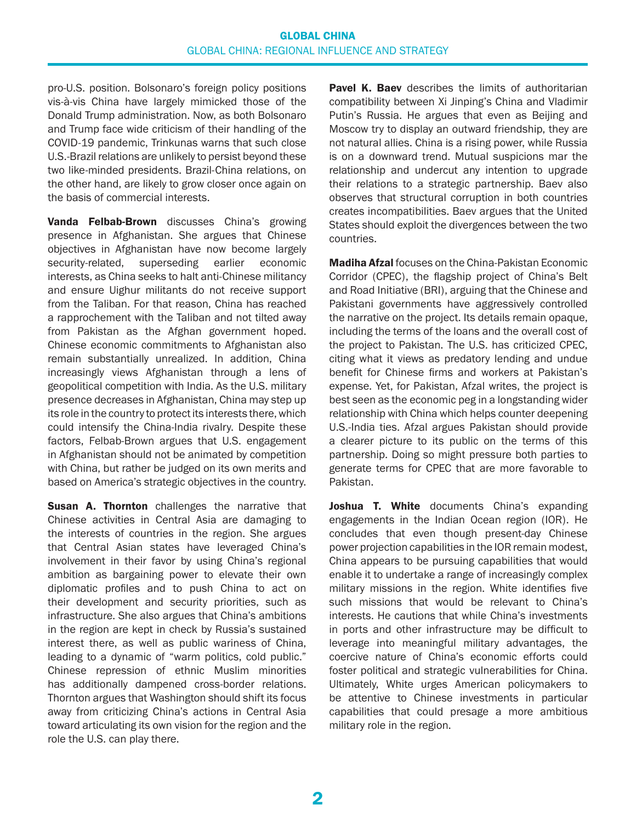#### GLOBAL CHINA GLOBAL CHINA: REGIONAL INFLUENCE AND STRATEGY

pro-U.S. position. Bolsonaro's foreign policy positions vis-à-vis China have largely mimicked those of the Donald Trump administration. Now, as both Bolsonaro and Trump face wide criticism of their handling of the COVID-19 pandemic, Trinkunas warns that such close U.S.-Brazil relations are unlikely to persist beyond these two like-minded presidents. Brazil-China relations, on the other hand, are likely to grow closer once again on the basis of commercial interests.

Vanda Felbab-Brown discusses China's growing presence in Afghanistan. She argues that Chinese objectives in Afghanistan have now become largely security-related, superseding earlier economic interests, as China seeks to halt anti-Chinese militancy and ensure Uighur militants do not receive support from the Taliban. For that reason, China has reached a rapprochement with the Taliban and not tilted away from Pakistan as the Afghan government hoped. Chinese economic commitments to Afghanistan also remain substantially unrealized. In addition, China increasingly views Afghanistan through a lens of geopolitical competition with India. As the U.S. military presence decreases in Afghanistan, China may step up its role in the country to protect its interests there, which could intensify the China-India rivalry. Despite these factors, Felbab-Brown argues that U.S. engagement in Afghanistan should not be animated by competition with China, but rather be judged on its own merits and based on America's strategic objectives in the country.

**Susan A. Thornton** challenges the narrative that Chinese activities in Central Asia are damaging to the interests of countries in the region. She argues that Central Asian states have leveraged China's involvement in their favor by using China's regional ambition as bargaining power to elevate their own diplomatic profiles and to push China to act on their development and security priorities, such as infrastructure. She also argues that China's ambitions in the region are kept in check by Russia's sustained interest there, as well as public wariness of China, leading to a dynamic of "warm politics, cold public." Chinese repression of ethnic Muslim minorities has additionally dampened cross-border relations. Thornton argues that Washington should shift its focus away from criticizing China's actions in Central Asia toward articulating its own vision for the region and the role the U.S. can play there.

**Pavel K. Baev** describes the limits of authoritarian compatibility between Xi Jinping's China and Vladimir Putin's Russia. He argues that even as Beijing and Moscow try to display an outward friendship, they are not natural allies. China is a rising power, while Russia is on a downward trend. Mutual suspicions mar the relationship and undercut any intention to upgrade their relations to a strategic partnership. Baev also observes that structural corruption in both countries creates incompatibilities. Baev argues that the United States should exploit the divergences between the two countries.

Madiha Afzal focuses on the China-Pakistan Economic Corridor (CPEC), the flagship project of China's Belt and Road Initiative (BRI), arguing that the Chinese and Pakistani governments have aggressively controlled the narrative on the project. Its details remain opaque, including the terms of the loans and the overall cost of the project to Pakistan. The U.S. has criticized CPEC, citing what it views as predatory lending and undue benefit for Chinese firms and workers at Pakistan's expense. Yet, for Pakistan, Afzal writes, the project is best seen as the economic peg in a longstanding wider relationship with China which helps counter deepening U.S.-India ties. Afzal argues Pakistan should provide a clearer picture to its public on the terms of this partnership. Doing so might pressure both parties to generate terms for CPEC that are more favorable to Pakistan.

Joshua T. White documents China's expanding engagements in the Indian Ocean region (IOR). He concludes that even though present-day Chinese power projection capabilities in the IOR remain modest, China appears to be pursuing capabilities that would enable it to undertake a range of increasingly complex military missions in the region. White identifies five such missions that would be relevant to China's interests. He cautions that while China's investments in ports and other infrastructure may be difficult to leverage into meaningful military advantages, the coercive nature of China's economic efforts could foster political and strategic vulnerabilities for China. Ultimately, White urges American policymakers to be attentive to Chinese investments in particular capabilities that could presage a more ambitious military role in the region.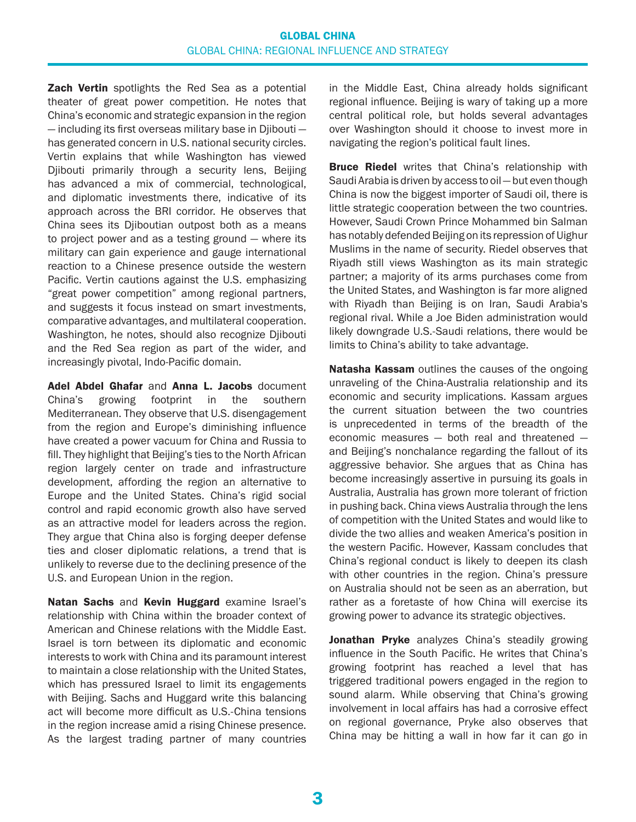#### GLOBAL CHINA GLOBAL CHINA: REGIONAL INFLUENCE AND STRATEGY

**Zach Vertin** spotlights the Red Sea as a potential theater of great power competition. He notes that China's economic and strategic expansion in the region — including its first overseas military base in Djibouti has generated concern in U.S. national security circles. Vertin explains that while Washington has viewed Djibouti primarily through a security lens, Beijing has advanced a mix of commercial, technological, and diplomatic investments there, indicative of its approach across the BRI corridor. He observes that China sees its Djiboutian outpost both as a means to project power and as a testing ground — where its military can gain experience and gauge international reaction to a Chinese presence outside the western Pacific. Vertin cautions against the U.S. emphasizing "great power competition" among regional partners, and suggests it focus instead on smart investments, comparative advantages, and multilateral cooperation. Washington, he notes, should also recognize Djibouti and the Red Sea region as part of the wider, and increasingly pivotal, Indo-Pacific domain.

Adel Abdel Ghafar and Anna L. Jacobs document China's growing footprint in the southern Mediterranean. They observe that U.S. disengagement from the region and Europe's diminishing influence have created a power vacuum for China and Russia to fill. They highlight that Beijing's ties to the North African region largely center on trade and infrastructure development, affording the region an alternative to Europe and the United States. China's rigid social control and rapid economic growth also have served as an attractive model for leaders across the region. They argue that China also is forging deeper defense ties and closer diplomatic relations, a trend that is unlikely to reverse due to the declining presence of the U.S. and European Union in the region.

Natan Sachs and Kevin Huggard examine Israel's relationship with China within the broader context of American and Chinese relations with the Middle East. Israel is torn between its diplomatic and economic interests to work with China and its paramount interest to maintain a close relationship with the United States, which has pressured Israel to limit its engagements with Beijing. Sachs and Huggard write this balancing act will become more difficult as U.S.-China tensions in the region increase amid a rising Chinese presence. As the largest trading partner of many countries in the Middle East, China already holds significant regional influence. Beijing is wary of taking up a more central political role, but holds several advantages over Washington should it choose to invest more in navigating the region's political fault lines.

**Bruce Riedel** writes that China's relationship with Saudi Arabia is driven by access to oil — but even though China is now the biggest importer of Saudi oil, there is little strategic cooperation between the two countries. However, Saudi Crown Prince Mohammed bin Salman has notably defended Beijing on its repression of Uighur Muslims in the name of security. Riedel observes that Riyadh still views Washington as its main strategic partner; a majority of its arms purchases come from the United States, and Washington is far more aligned with Riyadh than Beijing is on Iran, Saudi Arabia's regional rival. While a Joe Biden administration would likely downgrade U.S.-Saudi relations, there would be limits to China's ability to take advantage.

**Natasha Kassam** outlines the causes of the ongoing unraveling of the China-Australia relationship and its economic and security implications. Kassam argues the current situation between the two countries is unprecedented in terms of the breadth of the economic measures — both real and threatened and Beijing's nonchalance regarding the fallout of its aggressive behavior. She argues that as China has become increasingly assertive in pursuing its goals in Australia, Australia has grown more tolerant of friction in pushing back. China views Australia through the lens of competition with the United States and would like to divide the two allies and weaken America's position in the western Pacific. However, Kassam concludes that China's regional conduct is likely to deepen its clash with other countries in the region. China's pressure on Australia should not be seen as an aberration, but rather as a foretaste of how China will exercise its growing power to advance its strategic objectives.

Jonathan Pryke analyzes China's steadily growing influence in the South Pacific. He writes that China's growing footprint has reached a level that has triggered traditional powers engaged in the region to sound alarm. While observing that China's growing involvement in local affairs has had a corrosive effect on regional governance, Pryke also observes that China may be hitting a wall in how far it can go in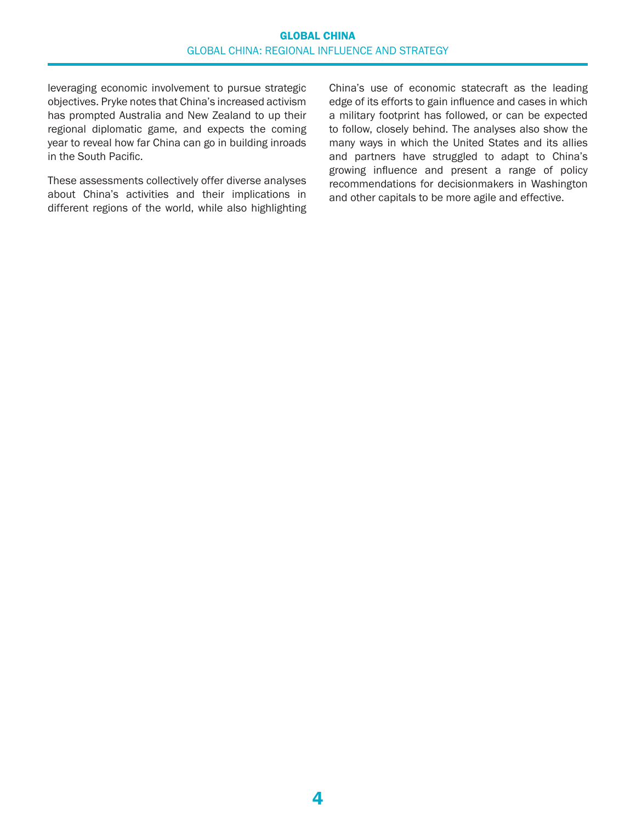leveraging economic involvement to pursue strategic objectives. Pryke notes that China's increased activism has prompted Australia and New Zealand to up their regional diplomatic game, and expects the coming year to reveal how far China can go in building inroads in the South Pacific.

These assessments collectively offer diverse analyses about China's activities and their implications in different regions of the world, while also highlighting China's use of economic statecraft as the leading edge of its efforts to gain influence and cases in which a military footprint has followed, or can be expected to follow, closely behind. The analyses also show the many ways in which the United States and its allies and partners have struggled to adapt to China's growing influence and present a range of policy recommendations for decisionmakers in Washington and other capitals to be more agile and effective.